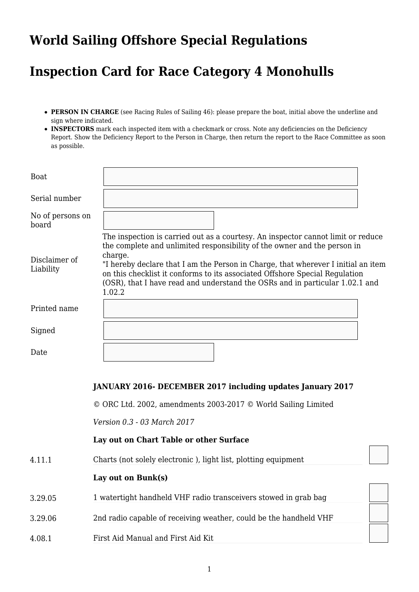## **World Sailing Offshore Special Regulations**

# **Inspection Card for Race Category 4 Monohulls**

- **PERSON IN CHARGE** (see Racing Rules of Sailing 46): please prepare the boat, initial above the underline and sign where indicated.
- **INSPECTORS** mark each inspected item with a checkmark or cross. Note any deficiencies on the Deficiency Report. Show the Deficiency Report to the Person in Charge, then return the report to the Race Committee as soon as possible.

| Boat                       |                                                                                                                                                                                                                                                                                                                                                                                                                                       |
|----------------------------|---------------------------------------------------------------------------------------------------------------------------------------------------------------------------------------------------------------------------------------------------------------------------------------------------------------------------------------------------------------------------------------------------------------------------------------|
| Serial number              |                                                                                                                                                                                                                                                                                                                                                                                                                                       |
| No of persons on<br>board  |                                                                                                                                                                                                                                                                                                                                                                                                                                       |
| Disclaimer of<br>Liability | The inspection is carried out as a courtesy. An inspector cannot limit or reduce<br>the complete and unlimited responsibility of the owner and the person in<br>charge.<br>"I hereby declare that I am the Person in Charge, that wherever I initial an item<br>on this checklist it conforms to its associated Offshore Special Regulation<br>(OSR), that I have read and understand the OSRs and in particular 1.02.1 and<br>1.02.2 |
| Printed name               |                                                                                                                                                                                                                                                                                                                                                                                                                                       |
| Signed                     |                                                                                                                                                                                                                                                                                                                                                                                                                                       |
| Date                       |                                                                                                                                                                                                                                                                                                                                                                                                                                       |

## **JANUARY 2016- DECEMBER 2017 including updates January 2017**

© ORC Ltd. 2002, amendments 2003-2017 © World Sailing Limited

*Version 0.3 - 03 March 2017* 

#### **Lay out on Chart Table or other Surface**

4.11.1 Charts (not solely electronic ), light list, plotting equipment

## Lay out on Bunk(s)

- 3.29.05 1 watertight handheld VHF radio transceivers stowed in grab bag
- 3.29.06 2nd radio capable of receiving weather, could be the handheld VHF
- 4.08.1 First Aid Manual and First Aid Kit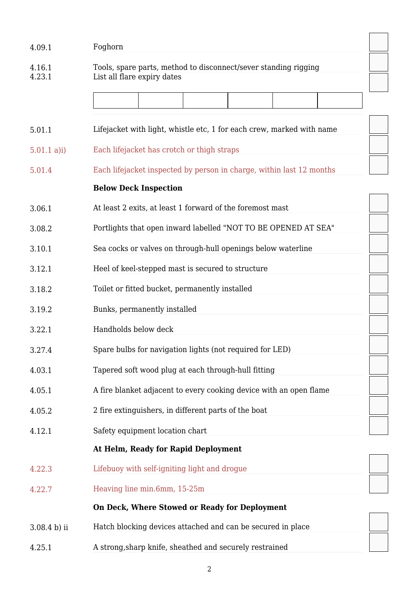| 4.09.1           | Foghorn                                                               |
|------------------|-----------------------------------------------------------------------|
| 4.16.1<br>4.23.1 | Tools, spare parts, method to disconnect/sever standing rigging       |
|                  | List all flare expiry dates                                           |
|                  |                                                                       |
| 5.01.1           | Lifejacket with light, whistle etc, 1 for each crew, marked with name |
| $5.01.1$ a)i)    | Each lifejacket has crotch or thigh straps                            |
| 5.01.4           | Each lifejacket inspected by person in charge, within last 12 months  |
|                  | <b>Below Deck Inspection</b>                                          |
| 3.06.1           | At least 2 exits, at least 1 forward of the foremost mast             |
| 3.08.2           | Portlights that open inward labelled "NOT TO BE OPENED AT SEA"        |
| 3.10.1           | Sea cocks or valves on through-hull openings below waterline          |
| 3.12.1           | Heel of keel-stepped mast is secured to structure                     |
| 3.18.2           | Toilet or fitted bucket, permanently installed                        |
| 3.19.2           | Bunks, permanently installed                                          |
| 3.22.1           | Handholds below deck                                                  |
| 3.27.4           | Spare bulbs for navigation lights (not required for LED)              |
| 4.03.1           | Tapered soft wood plug at each through-hull fitting                   |
| 4.05.1           | A fire blanket adjacent to every cooking device with an open flame    |
| 4.05.2           | 2 fire extinguishers, in different parts of the boat                  |
| 4.12.1           | Safety equipment location chart                                       |
|                  | At Helm, Ready for Rapid Deployment                                   |
| 4.22.3           | Lifebuoy with self-igniting light and drogue                          |
| 4.22.7           | Heaving line min.6mm, 15-25m                                          |
|                  | On Deck, Where Stowed or Ready for Deployment                         |
| 3.08.4 b) ii     | Hatch blocking devices attached and can be secured in place           |
| 4.25.1           | A strong, sharp knife, sheathed and securely restrained               |